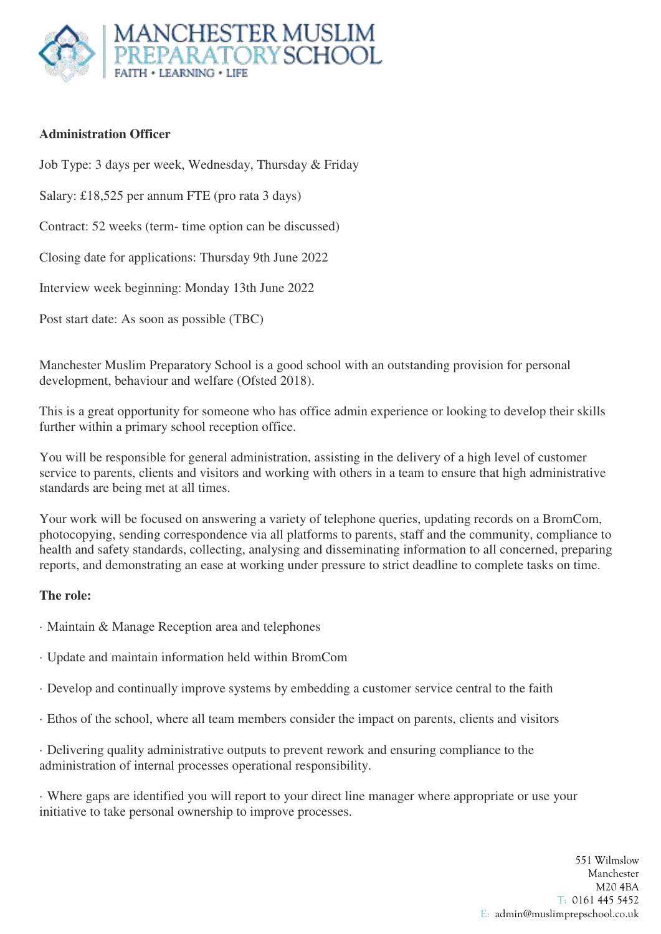

#### **Administration Officer**

Job Type: 3 days per week, Wednesday, Thursday & Friday

Salary: £18,525 per annum FTE (pro rata 3 days)

Contract: 52 weeks (term- time option can be discussed)

Closing date for applications: Thursday 9th June 2022

Interview week beginning: Monday 13th June 2022

Post start date: As soon as possible (TBC)

Manchester Muslim Preparatory School is a good school with an outstanding provision for personal development, behaviour and welfare (Ofsted 2018).

This is a great opportunity for someone who has office admin experience or looking to develop their skills further within a primary school reception office.

You will be responsible for general administration, assisting in the delivery of a high level of customer service to parents, clients and visitors and working with others in a team to ensure that high administrative standards are being met at all times.

Your work will be focused on answering a variety of telephone queries, updating records on a BromCom, photocopying, sending correspondence via all platforms to parents, staff and the community, compliance to health and safety standards, collecting, analysing and disseminating information to all concerned, preparing reports, and demonstrating an ease at working under pressure to strict deadline to complete tasks on time.

#### **The role:**

- · Maintain & Manage Reception area and telephones
- · Update and maintain information held within BromCom
- · Develop and continually improve systems by embedding a customer service central to the faith
- · Ethos of the school, where all team members consider the impact on parents, clients and visitors

· Delivering quality administrative outputs to prevent rework and ensuring compliance to the administration of internal processes operational responsibility.

· Where gaps are identified you will report to your direct line manager where appropriate or use your initiative to take personal ownership to improve processes.

> 551 Wilmslow Manchester M20 4BA T: 0161 445 5452 E: admin@muslimprepschool.co.uk